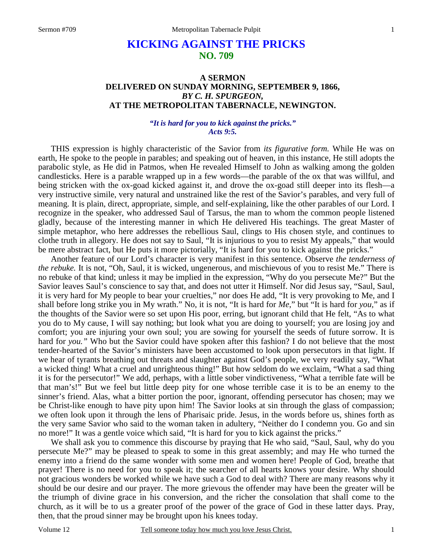# **KICKING AGAINST THE PRICKS NO. 709**

## **A SERMON DELIVERED ON SUNDAY MORNING, SEPTEMBER 9, 1866,**  *BY C. H. SPURGEON,*  **AT THE METROPOLITAN TABERNACLE, NEWINGTON.**

#### *"It is hard for you to kick against the pricks." Acts 9:5.*

THIS expression is highly characteristic of the Savior from *its figurative form.* While He was on earth, He spoke to the people in parables; and speaking out of heaven, in this instance, He still adopts the parabolic style, as He did in Patmos, when He revealed Himself to John as walking among the golden candlesticks. Here is a parable wrapped up in a few words—the parable of the ox that was willful, and being stricken with the ox-goad kicked against it, and drove the ox-goad still deeper into its flesh—a very instructive simile, very natural and unstrained like the rest of the Savior's parables, and very full of meaning. It is plain, direct, appropriate, simple, and self-explaining, like the other parables of our Lord. I recognize in the speaker, who addressed Saul of Tarsus, the man to whom the common people listened gladly, because of the interesting manner in which He delivered His teachings. The great Master of simple metaphor, who here addresses the rebellious Saul, clings to His chosen style, and continues to clothe truth in allegory. He does not say to Saul, "It is injurious to you to resist My appeals," that would be mere abstract fact, but He puts it more pictorially, "It is hard for you to kick against the pricks."

Another feature of our Lord's character is very manifest in this sentence. Observe *the tenderness of the rebuke.* It is not, "Oh, Saul, it is wicked, ungenerous, and mischievous of you to resist Me." There is no rebuke of that kind; unless it may be implied in the expression, "Why do you persecute Me?" But the Savior leaves Saul's conscience to say that, and does not utter it Himself. Nor did Jesus say, "Saul, Saul, it is very hard for My people to bear your cruelties," nor does He add, "It is very provoking to Me, and I shall before long strike you in My wrath." No, it is not, "It is hard for *Me*," but "It is hard for *you,*" as if the thoughts of the Savior were so set upon His poor, erring, but ignorant child that He felt, "As to what you do to My cause, I will say nothing; but look what you are doing to yourself; you are losing joy and comfort; you are injuring your own soul; you are sowing for yourself the seeds of future sorrow. It is hard for *you."* Who but the Savior could have spoken after this fashion? I do not believe that the most tender-hearted of the Savior's ministers have been accustomed to look upon persecutors in that light. If we hear of tyrants breathing out threats and slaughter against God's people, we very readily say, "What a wicked thing! What a cruel and unrighteous thing!" But how seldom do we exclaim, "What a sad thing it is for the persecutor!" We add, perhaps, with a little sober vindictiveness, "What a terrible fate will be that man's!" But we feel but little deep pity for one whose terrible case it is to be an enemy to the sinner's friend. Alas, what a bitter portion the poor, ignorant, offending persecutor has chosen; may we be Christ-like enough to have pity upon him! The Savior looks at sin through the glass of compassion; we often look upon it through the lens of Pharisaic pride. Jesus, in the words before us, shines forth as the very same Savior who said to the woman taken in adultery, "Neither do I condemn you. Go and sin no more!" It was a gentle voice which said, "It is hard for you to kick against the pricks."

We shall ask you to commence this discourse by praying that He who said, "Saul, Saul, why do you persecute Me?" may be pleased to speak to some in this great assembly; and may He who turned the enemy into a friend do the same wonder with some men and women here! People of God, breathe that prayer! There is no need for you to speak it; the searcher of all hearts knows your desire. Why should not gracious wonders be worked while we have such a God to deal with? There are many reasons why it should be our desire and our prayer. The more grievous the offender may have been the greater will be the triumph of divine grace in his conversion, and the richer the consolation that shall come to the church, as it will be to us a greater proof of the power of the grace of God in these latter days. Pray, then, that the proud sinner may be brought upon his knees today.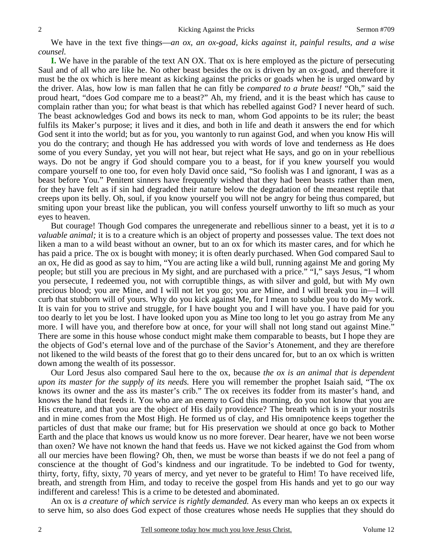We have in the text five things—*an ox, an ox-goad, kicks against it, painful results, and a wise counsel.*

**I.** We have in the parable of the text AN OX. That ox is here employed as the picture of persecuting Saul and of all who are like he. No other beast besides the ox is driven by an ox-goad, and therefore it must be the ox which is here meant as kicking against the pricks or goads when he is urged onward by the driver. Alas, how low is man fallen that he can fitly be *compared to a brute beast!* "Oh," said the proud heart, "does God compare me to a beast?" Ah, my friend, and it is the beast which has cause to complain rather than you; for what beast is that which has rebelled against God? I never heard of such. The beast acknowledges God and bows its neck to man, whom God appoints to be its ruler; the beast fulfils its Maker's purpose; it lives and it dies, and both in life and death it answers the end for which God sent it into the world; but as for you, you wantonly to run against God, and when you know His will you do the contrary; and though He has addressed you with words of love and tenderness as He does some of you every Sunday, yet you will not hear, but reject what He says, and go on in your rebellious ways. Do not be angry if God should compare you to a beast, for if you knew yourself you would compare yourself to one too, for even holy David once said, "So foolish was I and ignorant, I was as a beast before You." Penitent sinners have frequently wished that they had been beasts rather than men, for they have felt as if sin had degraded their nature below the degradation of the meanest reptile that creeps upon its belly. Oh, soul, if you know yourself you will not be angry for being thus compared, but smiting upon your breast like the publican, you will confess yourself unworthy to lift so much as your eyes to heaven.

But courage! Though God compares the unregenerate and rebellious sinner to a beast, yet it is to *a valuable animal;* it is to a creature which is an object of property and possesses value. The text does not liken a man to a wild beast without an owner, but to an ox for which its master cares, and for which he has paid a price. The ox is bought with money; it is often dearly purchased. When God compared Saul to an ox, He did as good as say to him, "You are acting like a wild bull, running against Me and goring My people; but still you are precious in My sight, and are purchased with a price." "I," says Jesus, "I whom you persecute, I redeemed you, not with corruptible things, as with silver and gold, but with My own precious blood; you are Mine, and I will not let you go; you are Mine, and I will break you in—I will curb that stubborn will of yours. Why do you kick against Me, for I mean to subdue you to do My work. It is vain for you to strive and struggle, for I have bought you and I will have you. I have paid for you too dearly to let you be lost. I have looked upon you as Mine too long to let you go astray from Me any more. I will have you, and therefore bow at once, for your will shall not long stand out against Mine." There are some in this house whose conduct might make them comparable to beasts, but I hope they are the objects of God's eternal love and of the purchase of the Savior's Atonement, and they are therefore not likened to the wild beasts of the forest that go to their dens uncared for, but to an ox which is written down among the wealth of its possessor.

Our Lord Jesus also compared Saul here to the ox, because *the ox is an animal that is dependent upon its master for the supply of its needs.* Here you will remember the prophet Isaiah said, "The ox knows its owner and the ass its master's crib." The ox receives its fodder from its master's hand, and knows the hand that feeds it. You who are an enemy to God this morning, do you not know that you are His creature, and that you are the object of His daily providence? The breath which is in your nostrils and in mine comes from the Most High. He formed us of clay, and His omnipotence keeps together the particles of dust that make our frame; but for His preservation we should at once go back to Mother Earth and the place that knows us would know us no more forever. Dear hearer, have we not been worse than oxen? We have not known the hand that feeds us. Have we not kicked against the God from whom all our mercies have been flowing? Oh, then, we must be worse than beasts if we do not feel a pang of conscience at the thought of God's kindness and our ingratitude. To be indebted to God for twenty, thirty, forty, fifty, sixty, 70 years of mercy, and yet never to be grateful to Him! To have received life, breath, and strength from Him, and today to receive the gospel from His hands and yet to go our way indifferent and careless! This is a crime to be detested and abominated.

An ox is *a creature of which service is rightly demanded.* As every man who keeps an ox expects it to serve him, so also does God expect of those creatures whose needs He supplies that they should do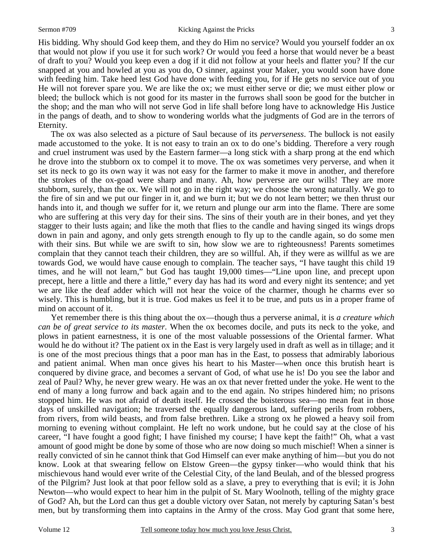His bidding. Why should God keep them, and they do Him no service? Would you yourself fodder an ox that would not plow if you use it for such work? Or would you feed a horse that would never be a beast of draft to you? Would you keep even a dog if it did not follow at your heels and flatter you? If the cur snapped at you and howled at you as you do, O sinner, against your Maker, you would soon have done with feeding him. Take heed lest God have done with feeding you*,* for if He gets no service out of you He will not forever spare you. We are like the ox; we must either serve or die; we must either plow or bleed; the bullock which is not good for its master in the furrows shall soon be good for the butcher in the shop; and the man who will not serve God in life shall before long have to acknowledge His Justice in the pangs of death, and to show to wondering worlds what the judgments of God are in the terrors of Eternity.

The ox was also selected as a picture of Saul because of its *perverseness*. The bullock is not easily made accustomed to the yoke. It is not easy to train an ox to do one's bidding. Therefore a very rough and cruel instrument was used by the Eastern farmer—a long stick with a sharp prong at the end which he drove into the stubborn ox to compel it to move. The ox was sometimes very perverse, and when it set its neck to go its own way it was not easy for the farmer to make it move in another, and therefore the strokes of the ox-goad were sharp and many. Ah, how perverse are our wills! They are more stubborn, surely, than the ox. We will not go in the right way; we choose the wrong naturally. We go to the fire of sin and we put our finger in it, and we burn it; but we do not learn better; we then thrust our hands into it, and though we suffer for it, we return and plunge our arm into the flame. There are some who are suffering at this very day for their sins. The sins of their youth are in their bones, and yet they stagger to their lusts again; and like the moth that flies to the candle and having singed its wings drops down in pain and agony, and only gets strength enough to fly up to the candle again, so do some men with their sins. But while we are swift to sin, how slow we are to righteousness! Parents sometimes complain that they cannot teach their children, they are so willful. Ah, if they were as willful as we are towards God, we would have cause enough to complain. The teacher says, "I have taught this child 19 times, and he will not learn," but God has taught 19,000 times—"Line upon line, and precept upon precept, here a little and there a little," every day has had its word and every night its sentence; and yet we are like the deaf adder which will not hear the voice of the charmer, though he charms ever so wisely. This is humbling, but it is true. God makes us feel it to be true, and puts us in a proper frame of mind on account of it.

Yet remember there is this thing about the ox—though thus a perverse animal, it is *a creature which can be of great service to its master.* When the ox becomes docile, and puts its neck to the yoke, and plows in patient earnestness, it is one of the most valuable possessions of the Oriental farmer. What would he do without it? The patient ox in the East is very largely used in draft as well as in tillage; and it is one of the most precious things that a poor man has in the East, to possess that admirably laborious and patient animal. When man once gives his heart to his Master—when once this brutish heart is conquered by divine grace, and becomes a servant of God, of what use he is! Do you see the labor and zeal of Paul? Why, he never grew weary. He was an ox that never fretted under the yoke. He went to the end of many a long furrow and back again and to the end again. No stripes hindered him; no prisons stopped him. He was not afraid of death itself. He crossed the boisterous sea—no mean feat in those days of unskilled navigation; he traversed the equally dangerous land, suffering perils from robbers, from rivers, from wild beasts, and from false brethren. Like a strong ox he plowed a heavy soil from morning to evening without complaint. He left no work undone, but he could say at the close of his career, "I have fought a good fight; I have finished my course; I have kept the faith!" Oh, what a vast amount of good might be done by some of those who are now doing so much mischief! When a sinner is really convicted of sin he cannot think that God Himself can ever make anything of him—but you do not know. Look at that swearing fellow on Elstow Green—the gypsy tinker—who would think that his mischievous hand would ever write of the Celestial City, of the land Beulah, and of the blessed progress of the Pilgrim? Just look at that poor fellow sold as a slave, a prey to everything that is evil; it is John Newton—who would expect to hear him in the pulpit of St. Mary Woolnoth, telling of the mighty grace of God? Ah, but the Lord can thus get a double victory over Satan, not merely by capturing Satan's best men, but by transforming them into captains in the Army of the cross. May God grant that some here,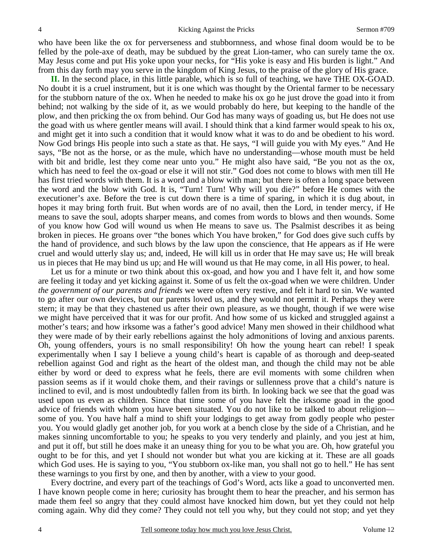who have been like the ox for perverseness and stubbornness, and whose final doom would be to be felled by the pole-axe of death, may be subdued by the great Lion-tamer, who can surely tame the ox. May Jesus come and put His yoke upon your necks, for "His yoke is easy and His burden is light." And from this day forth may you serve in the kingdom of King Jesus, to the praise of the glory of His grace.

**II.** In the second place, in this little parable, which is so full of teaching, we have THE OX-GOAD. No doubt it is a cruel instrument, but it is one which was thought by the Oriental farmer to be necessary for the stubborn nature of the ox. When he needed to make his ox go he just drove the goad into it from behind; not walking by the side of it, as we would probably do here, but keeping to the handle of the plow, and then pricking the ox from behind. Our God has many ways of goading us, but He does not use the goad with us where gentler means will avail. I should think that a kind farmer would speak to his ox, and might get it into such a condition that it would know what it was to do and be obedient to his word. Now God brings His people into such a state as that. He says, "I will guide you with My eyes." And He says, "Be not as the horse, or as the mule, which have no understanding—whose mouth must be held with bit and bridle, lest they come near unto you." He might also have said, "Be you not as the ox, which has need to feel the ox-goad or else it will not stir." God does not come to blows with men till He has first tried words with them. It is a word and a blow with man; but there is often a long space between the word and the blow with God. It is, "Turn! Turn! Why will you die?" before He comes with the executioner's axe. Before the tree is cut down there is a time of sparing, in which it is dug about, in hopes it may bring forth fruit. But when words are of no avail, then the Lord, in tender mercy, if He means to save the soul, adopts sharper means, and comes from words to blows and then wounds. Some of you know how God will wound us when He means to save us. The Psalmist describes it as being broken in pieces. He groans over "the bones which You have broken," for God does give such cuffs by the hand of providence, and such blows by the law upon the conscience, that He appears as if He were cruel and would utterly slay us; and, indeed, He will kill us in order that He may save us; He will break us in pieces that He may bind us up; and He will wound us that He may come, in all His power, to heal.

Let us for a minute or two think about this ox-goad, and how you and I have felt it, and how some are feeling it today and yet kicking against it. Some of us felt the ox-goad when we were children. Under *the government of our parents and friends* we were often very restive, and felt it hard to sin. We wanted to go after our own devices, but our parents loved us, and they would not permit it. Perhaps they were stern; it may be that they chastened us after their own pleasure, as we thought, though if we were wise we might have perceived that it was for our profit. And how some of us kicked and struggled against a mother's tears; and how irksome was a father's good advice! Many men showed in their childhood what they were made of by their early rebellions against the holy admonitions of loving and anxious parents. Oh, young offenders, yours is no small responsibility! Oh how the young heart can rebel! I speak experimentally when I say I believe a young child's heart is capable of as thorough and deep-seated rebellion against God and right as the heart of the oldest man, and though the child may not be able either by word or deed to express what he feels, there are evil moments with some children when passion seems as if it would choke them, and their ravings or sullenness prove that a child's nature is inclined to evil, and is most undoubtedly fallen from its birth. In looking back we see that the goad was used upon us even as children. Since that time some of you have felt the irksome goad in the good advice of friends with whom you have been situated. You do not like to be talked to about religion some of you. You have half a mind to shift your lodgings to get away from godly people who pester you. You would gladly get another job, for you work at a bench close by the side of a Christian, and he makes sinning uncomfortable to you; he speaks to you very tenderly and plainly, and you jest at him, and put it off, but still he does make it an uneasy thing for you to be what you are. Oh, how grateful you ought to be for this, and yet I should not wonder but what you are kicking at it. These are all goads which God uses. He is saying to you, "You stubborn ox-like man, you shall not go to hell." He has sent these warnings to you first by one, and then by another, with a view to your good.

Every doctrine, and every part of the teachings of God's Word, acts like a goad to unconverted men. I have known people come in here; curiosity has brought them to hear the preacher, and his sermon has made them feel so angry that they could almost have knocked him down, but yet they could not help coming again. Why did they come? They could not tell you why, but they could not stop; and yet they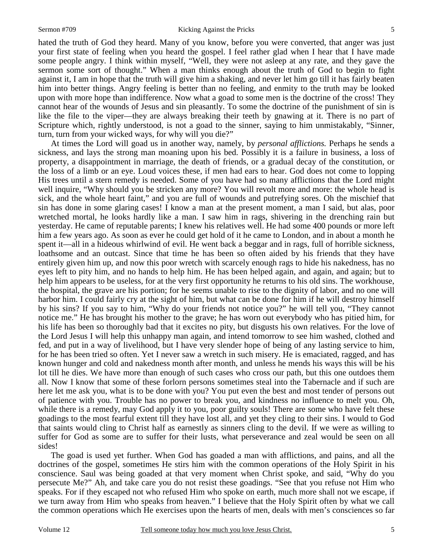5

hated the truth of God they heard. Many of you know, before you were converted, that anger was just your first state of feeling when you heard the gospel. I feel rather glad when I hear that I have made some people angry. I think within myself, "Well, they were not asleep at any rate, and they gave the sermon some sort of thought." When a man thinks enough about the truth of God to begin to fight against it, I am in hope that the truth will give him a shaking, and never let him go till it has fairly beaten him into better things. Angry feeling is better than no feeling, and enmity to the truth may be looked upon with more hope than indifference. Now what a goad to some men is the doctrine of the cross! They cannot hear of the wounds of Jesus and sin pleasantly. To some the doctrine of the punishment of sin is like the file to the viper—they are always breaking their teeth by gnawing at it. There is no part of Scripture which, rightly understood, is not a goad to the sinner, saying to him unmistakably, "Sinner, turn, turn from your wicked ways, for why will you die?"

At times the Lord will goad us in another way, namely, by *personal afflictions.* Perhaps he sends a sickness, and lays the strong man moaning upon his bed. Possibly it is a failure in business, a loss of property, a disappointment in marriage, the death of friends, or a gradual decay of the constitution, or the loss of a limb or an eye. Loud voices these, if men had ears to hear. God does not come to lopping His trees until a stern remedy is needed. Some of you have had so many afflictions that the Lord might well inquire, "Why should you be stricken any more? You will revolt more and more: the whole head is sick, and the whole heart faint," and you are full of wounds and putrefying sores. Oh the mischief that sin has done in some glaring cases! I know a man at the present moment, a man I said, but alas, poor wretched mortal, he looks hardly like a man. I saw him in rags, shivering in the drenching rain but yesterday. He came of reputable parents; I knew his relatives well. He had some 400 pounds or more left him a few years ago. As soon as ever he could get hold of it he came to London, and in about a month he spent it—all in a hideous whirlwind of evil. He went back a beggar and in rags, full of horrible sickness, loathsome and an outcast. Since that time he has been so often aided by his friends that they have entirely given him up, and now this poor wretch with scarcely enough rags to hide his nakedness, has no eyes left to pity him, and no hands to help him. He has been helped again, and again, and again; but to help him appears to be useless, for at the very first opportunity he returns to his old sins. The workhouse, the hospital, the grave are his portion; for he seems unable to rise to the dignity of labor, and no one will harbor him. I could fairly cry at the sight of him, but what can be done for him if he will destroy himself by his sins? If you say to him, "Why do your friends not notice you?" he will tell you, "They cannot notice me." He has brought his mother to the grave; he has worn out everybody who has pitied him, for his life has been so thoroughly bad that it excites no pity, but disgusts his own relatives. For the love of the Lord Jesus I will help this unhappy man again, and intend tomorrow to see him washed, clothed and fed, and put in a way of livelihood, but I have very slender hope of being of any lasting service to him, for he has been tried so often. Yet I never saw a wretch in such misery. He is emaciated, ragged, and has known hunger and cold and nakedness month after month, and unless he mends his ways this will be his lot till he dies. We have more than enough of such cases who cross our path, but this one outdoes them all. Now I know that some of these forlorn persons sometimes steal into the Tabernacle and if such are here let me ask you, what is to be done with you? You put even the best and most tender of persons out of patience with you. Trouble has no power to break you, and kindness no influence to melt you. Oh, while there is a remedy, may God apply it to you, poor guilty souls! There are some who have felt these goadings to the most fearful extent till they have lost all, and yet they cling to their sins. I would to God that saints would cling to Christ half as earnestly as sinners cling to the devil. If we were as willing to suffer for God as some are to suffer for their lusts, what perseverance and zeal would be seen on all sides!

The goad is used yet further. When God has goaded a man with afflictions, and pains, and all the doctrines of the gospel, sometimes He stirs him with the common operations of the Holy Spirit in his conscience. Saul was being goaded at that very moment when Christ spoke, and said, "Why do you persecute Me?" Ah, and take care you do not resist these goadings. "See that you refuse not Him who speaks. For if they escaped not who refused Him who spoke on earth, much more shall not we escape, if we turn away from Him who speaks from heaven." I believe that the Holy Spirit often by what we call the common operations which He exercises upon the hearts of men, deals with men's consciences so far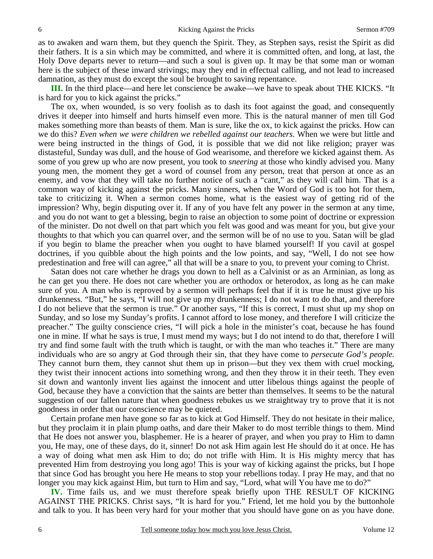as to awaken and warn them, but they quench the Spirit. They, as Stephen says, resist the Spirit as did their fathers. It is a sin which may be committed, and where it is committed often, and long, at last, the Holy Dove departs never to return—and such a soul is given up. It may be that some man or woman here is the subject of these inward strivings; may they end in effectual calling, and not lead to increased damnation, as they must do except the soul be brought to saving repentance.

**III.** In the third place—and here let conscience be awake—we have to speak about THE KICKS. "It is hard for you to kick against the pricks."

The ox, when wounded, is so very foolish as to dash its foot against the goad, and consequently drives it deeper into himself and hurts himself even more. This is the natural manner of men till God makes something more than beasts of them. Man is sure, like the ox, to kick against the pricks. How can we do this? *Even when we were children we rebelled against our teachers.* When we were but little and were being instructed in the things of God, it is possible that we did not like religion; prayer was distasteful, Sunday was dull, and the house of God wearisome, and therefore we kicked against them. As some of you grew up who are now present, you took to *sneering* at those who kindly advised you. Many young men, the moment they get a word of counsel from any person, treat that person at once as an enemy, and vow that they will take no further notice of such a "cant," as they will call him. That is a common way of kicking against the pricks. Many sinners, when the Word of God is too hot for them, take to criticizing it. When a sermon comes home, what is the easiest way of getting rid of the impression? Why, begin disputing over it. If any of you have felt any power in the sermon at any time, and you do not want to get a blessing, begin to raise an objection to some point of doctrine or expression of the minister. Do not dwell on that part which you felt was good and was meant for you, but give your thoughts to that which you can quarrel over, and the sermon will be of no use to you. Satan will be glad if you begin to blame the preacher when you ought to have blamed yourself! If you cavil at gospel doctrines, if you quibble about the high points and the low points, and say, "Well, I do not see how predestination and free will can agree," all that will be a snare to you, to prevent your coming to Christ.

Satan does not care whether he drags you down to hell as a Calvinist or as an Arminian, as long as he can get you there. He does not care whether you are orthodox or heterodox, as long as he can make sure of you. A man who is reproved by a sermon will perhaps feel that if it is true he must give up his drunkenness. "But," he says, "I will not give up my drunkenness; I do not want to do that, and therefore I do not believe that the sermon is true." Or another says, "If this is correct, I must shut up my shop on Sunday, and so lose my Sunday's profits. I cannot afford to lose money, and therefore I will criticize the preacher." The guilty conscience cries, "I will pick a hole in the minister's coat, because he has found one in mine. If what he says is true, I must mend my ways; but I do not intend to do that, therefore I will try and find some fault with the truth which is taught, or with the man who teaches it." There are many individuals who are so angry at God through their sin, that they have come to *persecute God's people.* They cannot burn them, they cannot shut them up in prison—but they vex them with cruel mocking, they twist their innocent actions into something wrong, and then they throw it in their teeth. They even sit down and wantonly invent lies against the innocent and utter libelous things against the people of God, because they have a conviction that the saints are better than themselves. It seems to be the natural suggestion of our fallen nature that when goodness rebukes us we straightway try to prove that it is not goodness in order that our conscience may be quieted.

Certain profane men have gone so far as to kick at God Himself. They do not hesitate in their malice, but they proclaim it in plain plump oaths, and dare their Maker to do most terrible things to them. Mind that He does not answer you, blasphemer. He is a hearer of prayer, and when you pray to Him to damn you, He may, one of these days, do it, sinner! Do not ask Him again lest He should do it at once. He has a way of doing what men ask Him to do; do not trifle with Him. It is His mighty mercy that has prevented Him from destroying you long ago! This is your way of kicking against the pricks, but I hope that since God has brought you here He means to stop your rebellions today. I pray He may, and that no longer you may kick against Him, but turn to Him and say, "Lord, what will You have me to do?"

**IV.** Time fails us, and we must therefore speak briefly upon THE RESULT OF KICKING AGAINST THE PRICKS. Christ says, "It is hard for you." Friend, let me hold you by the buttonhole and talk to you. It has been very hard for your mother that you should have gone on as you have done.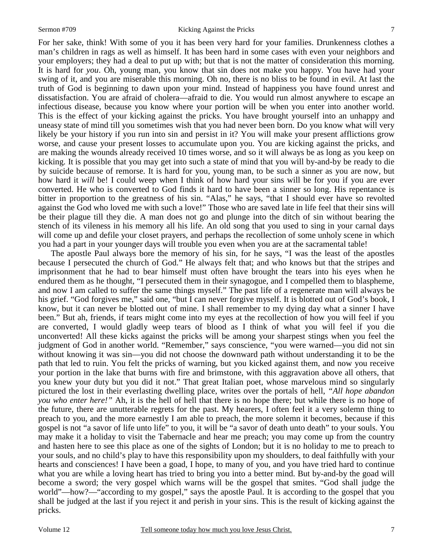For her sake, think! With some of you it has been very hard for your families. Drunkenness clothes a man's children in rags as well as himself. It has been hard in some cases with even your neighbors and your employers; they had a deal to put up with; but that is not the matter of consideration this morning. It is hard for *you*. Oh, young man, you know that sin does not make you happy. You have had your swing of it, and you are miserable this morning. Oh no, there is no bliss to be found in evil. At last the truth of God is beginning to dawn upon your mind. Instead of happiness you have found unrest and dissatisfaction. You are afraid of cholera—afraid to die. You would run almost anywhere to escape an infectious disease, because you know where your portion will be when you enter into another world. This is the effect of your kicking against the pricks. You have brought yourself into an unhappy and uneasy state of mind till you sometimes wish that you had never been born. Do you know what will very likely be your history if you run into sin and persist in it? You will make your present afflictions grow worse, and cause your present losses to accumulate upon you. You are kicking against the pricks, and are making the wounds already received 10 times worse, and so it will always be as long as you keep on kicking. It is possible that you may get into such a state of mind that you will by-and-by be ready to die by suicide because of remorse. It is hard for you, young man, to be such a sinner as you are now, but how hard it *will* be! I could weep when I think of how hard your sins will be for you if you are ever converted. He who is converted to God finds it hard to have been a sinner so long. His repentance is bitter in proportion to the greatness of his sin. "Alas," he says, "that I should ever have so revolted against the God who loved me with such a love!" Those who are saved late in life feel that their sins will be their plague till they die. A man does not go and plunge into the ditch of sin without bearing the stench of its vileness in his memory all his life. An old song that you used to sing in your carnal days will come up and defile your closet prayers, and perhaps the recollection of some unholy scene in which you had a part in your younger days will trouble you even when you are at the sacramental table!

The apostle Paul always bore the memory of his sin, for he says, "I was the least of the apostles because I persecuted the church of God." He always felt that; and who knows but that the stripes and imprisonment that he had to bear himself must often have brought the tears into his eyes when he endured them as he thought, "I persecuted them in their synagogue, and I compelled them to blaspheme, and now I am called to suffer the same things myself." The past life of a regenerate man will always be his grief. "God forgives me," said one, "but I can never forgive myself. It is blotted out of God's book, I know, but it can never be blotted out of mine. I shall remember to my dying day what a sinner I have been." But ah, friends, if tears might come into my eyes at the recollection of how you will feel if you are converted, I would gladly weep tears of blood as I think of what you will feel if you die unconverted! All these kicks against the pricks will be among your sharpest stings when you feel the judgment of God in another world. "Remember," says conscience, "you were warned—you did not sin without knowing it was sin—you did not choose the downward path without understanding it to be the path that led to ruin. You felt the pricks of warning, but you kicked against them, and now you receive your portion in the lake that burns with fire and brimstone, with this aggravation above all others, that you knew your duty but you did it not." That great Italian poet, whose marvelous mind so singularly pictured the lost in their everlasting dwelling place, writes over the portals of hell, *"All hope abandon you who enter here!"* Ah, it is the hell of hell that there is no hope there; but while there is no hope of the future, there are unutterable regrets for the past. My hearers, I often feel it a very solemn thing to preach to you, and the more earnestly I am able to preach, the more solemn it becomes, because if this gospel is not "a savor of life unto life" to you, it will be "a savor of death unto death" to your souls. You may make it a holiday to visit the Tabernacle and hear me preach; you may come up from the country and hasten here to see this place as one of the sights of London; but it is no holiday to me to preach to your souls, and no child's play to have this responsibility upon my shoulders, to deal faithfully with your hearts and consciences! I have been a goad, I hope, to many of you, and you have tried hard to continue what you are while a loving heart has tried to bring you into a better mind. But by-and-by the goad will become a sword; the very gospel which warns will be the gospel that smites. "God shall judge the world"—how?—"according to my gospel," says the apostle Paul. It is according to the gospel that you shall be judged at the last if you reject it and perish in your sins. This is the result of kicking against the pricks.